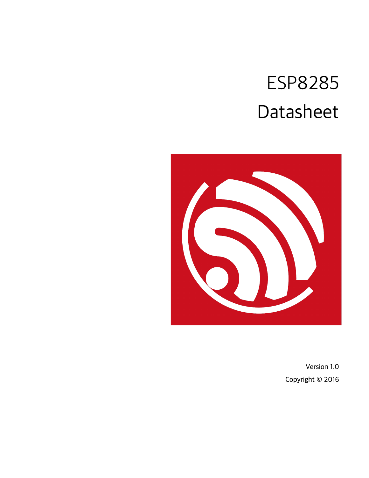## ESP8285 Datasheet



Version 1.0 Copyright © 2016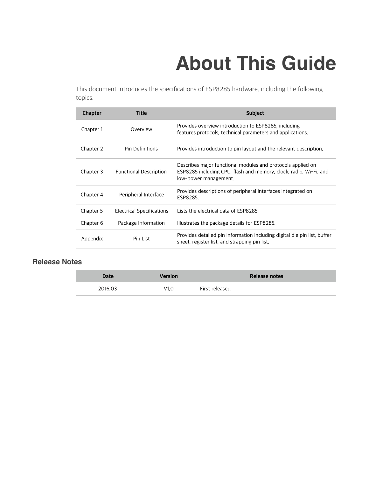## **About This Guide**

This document introduces the specifications of ESP8285 hardware, including the following topics.

| <b>Chapter</b> | <b>Title</b>                     | <b>Subject</b>                                                                                                                                            |
|----------------|----------------------------------|-----------------------------------------------------------------------------------------------------------------------------------------------------------|
| Chapter 1      | Overview                         | Provides overview introduction to ESP8285, including<br>features, protocols, technical parameters and applications.                                       |
| Chapter 2      | Pin Definitions                  | Provides introduction to pin layout and the relevant description.                                                                                         |
| Chapter 3      | <b>Functional Description</b>    | Describes major functional modules and protocols applied on<br>ESP8285 including CPU, flash and memory, clock, radio, Wi-Fi, and<br>low-power management. |
| Chapter 4      | Peripheral Interface             | Provides descriptions of peripheral interfaces integrated on<br>ESP8285.                                                                                  |
| Chapter 5      | <b>Electrical Specifications</b> | Lists the electrical data of ESP8285.                                                                                                                     |
| Chapter 6      | Package Information              | Illustrates the package details for ESP8285.                                                                                                              |
| Appendix       | Pin List                         | Provides detailed pin information including digital die pin list, buffer<br>sheet, register list, and strapping pin list.                                 |

### **Release Notes**

| <b>Date</b> | Version | Release notes   |
|-------------|---------|-----------------|
| 2016.03     | V1.0    | First released. |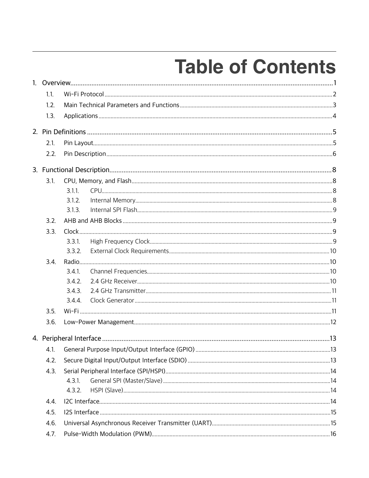## **Table of Contents**

| 1.1. |           |  |  |  |
|------|-----------|--|--|--|
| 1.2. |           |  |  |  |
| 1.3. |           |  |  |  |
|      |           |  |  |  |
| 2.1. |           |  |  |  |
| 2.2. |           |  |  |  |
|      |           |  |  |  |
| 3.1. |           |  |  |  |
|      | 3.11      |  |  |  |
|      | 3.1.2.    |  |  |  |
|      | 3.1.3.    |  |  |  |
| 3.2. |           |  |  |  |
| 3.3. |           |  |  |  |
|      | 3.3.1     |  |  |  |
|      | 3.3.2.    |  |  |  |
| 3.4. |           |  |  |  |
|      | $3.4.1$ . |  |  |  |
|      | 3.4.2.    |  |  |  |
|      | 3.4.3.    |  |  |  |
|      | 3.4.4.    |  |  |  |
| 3.5. |           |  |  |  |
| 3.6. |           |  |  |  |
|      |           |  |  |  |
| 4.1. |           |  |  |  |
| 4.2. |           |  |  |  |
| 4.3. |           |  |  |  |
|      | 4.3.1.    |  |  |  |
|      | 4.3.2.    |  |  |  |
| 4.4. |           |  |  |  |
| 4.5. |           |  |  |  |
| 4.6. |           |  |  |  |
| 4.7. |           |  |  |  |
|      |           |  |  |  |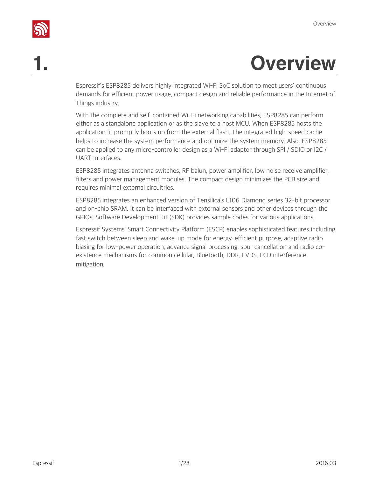

## **1. Overview**

Espressif's ESP8285 delivers highly integrated Wi-Fi SoC solution to meet users' continuous demands for efficient power usage, compact design and reliable performance in the Internet of Things industry.

With the complete and self-contained Wi-Fi networking capabilities, ESP8285 can perform either as a standalone application or as the slave to a host MCU. When ESP8285 hosts the application, it promptly boots up from the external flash. The integrated high-speed cache helps to increase the system performance and optimize the system memory. Also, ESP8285 can be applied to any micro-controller design as a Wi-Fi adaptor through SPI / SDIO or I2C / UART interfaces.

ESP8285 integrates antenna switches, RF balun, power amplifier, low noise receive amplifier, filters and power management modules. The compact design minimizes the PCB size and requires minimal external circuitries.

ESP8285 integrates an enhanced version of Tensilica's L106 Diamond series 32-bit processor and on-chip SRAM. It can be interfaced with external sensors and other devices through the GPIOs. Software Development Kit (SDK) provides sample codes for various applications.

Espressif Systems' Smart Connectivity Platform (ESCP) enables sophisticated features including fast switch between sleep and wake-up mode for energy-efficient purpose, adaptive radio biasing for low-power operation, advance signal processing, spur cancellation and radio coexistence mechanisms for common cellular, Bluetooth, DDR, LVDS, LCD interference mitigation.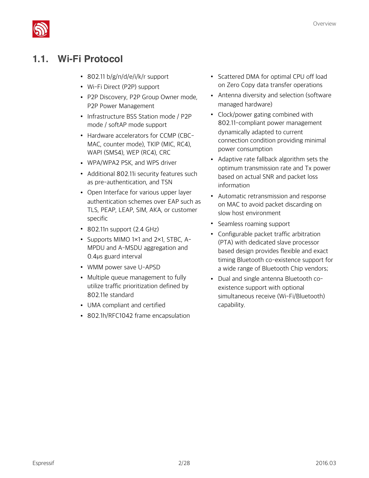

## **1.1. Wi-Fi Protocol**

- 802.11 b/g/n/d/e/i/k/r support
- Wi-Fi Direct (P2P) support
- P2P Discovery, P2P Group Owner mode, P2P Power Management
- Infrastructure BSS Station mode / P2P mode / softAP mode support
- Hardware accelerators for CCMP (CBC-MAC, counter mode), TKIP (MIC, RC4), WAPI (SMS4), WEP (RC4), CRC
- WPA/WPA2 PSK, and WPS driver
- Additional 802.11i security features such as pre-authentication, and TSN
- Open Interface for various upper layer authentication schemes over EAP such as TLS, PEAP, LEAP, SIM, AKA, or customer specific
- 802.11n support (2.4 GHz)
- Supports MIMO 1×1 and 2×1, STBC, A-MPDU and A-MSDU aggregation and 0.4μs guard interval
- WMM power save U-APSD
- Multiple queue management to fully utilize traffic prioritization defined by 802.11e standard
- UMA compliant and certified
- 802.1h/RFC1042 frame encapsulation
- Scattered DMA for optimal CPU off load on Zero Copy data transfer operations
- Antenna diversity and selection (software managed hardware)
- Clock/power gating combined with 802.11-compliant power management dynamically adapted to current connection condition providing minimal power consumption
- Adaptive rate fallback algorithm sets the optimum transmission rate and Tx power based on actual SNR and packet loss information
- Automatic retransmission and response on MAC to avoid packet discarding on slow host environment
- Seamless roaming support
- Configurable packet traffic arbitration (PTA) with dedicated slave processor based design provides flexible and exact timing Bluetooth co-existence support for a wide range of Bluetooth Chip vendors;
- Dual and single antenna Bluetooth coexistence support with optional simultaneous receive (Wi-Fi/Bluetooth) capability.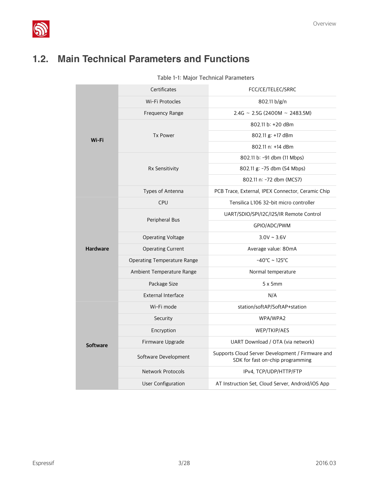

## **1.2. Main Technical Parameters and Functions**

| Table 1-1: Major Technical Parameters |  |  |
|---------------------------------------|--|--|
|---------------------------------------|--|--|

|                 | Certificates                | FCC/CE/TELEC/SRRC                                                                    |  |  |
|-----------------|-----------------------------|--------------------------------------------------------------------------------------|--|--|
|                 | Wi-Fi Protocles             | 802.11 b/g/n                                                                         |  |  |
|                 | Frequency Range             | $2.4G \sim 2.5G (2400M \sim 2483.5M)$                                                |  |  |
|                 |                             | 802.11 b: +20 dBm                                                                    |  |  |
| Wi-Fi           | <b>Tx Power</b>             | 802.11 g: +17 dBm                                                                    |  |  |
|                 |                             | 802.11 n: +14 dBm                                                                    |  |  |
|                 |                             | 802.11 b: -91 dbm (11 Mbps)                                                          |  |  |
|                 | Rx Sensitivity              | 802.11 g: -75 dbm (54 Mbps)                                                          |  |  |
|                 |                             | 802.11 n: -72 dbm (MCS7)                                                             |  |  |
|                 | Types of Antenna            | PCB Trace, External, IPEX Connector, Ceramic Chip                                    |  |  |
|                 | <b>CPU</b>                  | Tensilica L106 32-bit micro controller                                               |  |  |
|                 | Peripheral Bus              | UART/SDIO/SPI/I2C/I2S/IR Remote Control                                              |  |  |
|                 |                             | GPIO/ADC/PWM                                                                         |  |  |
|                 | Operating Voltage           | $3.0V \sim 3.6V$                                                                     |  |  |
| <b>Hardware</b> | <b>Operating Current</b>    | Average value: 80mA                                                                  |  |  |
|                 | Operating Temperature Range | $-40^{\circ}$ C ~ 125 $^{\circ}$ C                                                   |  |  |
|                 | Ambient Temperature Range   | Normal temperature                                                                   |  |  |
|                 | Package Size                | 5x5mm                                                                                |  |  |
|                 | External Interface          | N/A                                                                                  |  |  |
|                 | Wi-Fi mode                  | station/softAP/SoftAP+station                                                        |  |  |
|                 | Security                    | WPA/WPA2                                                                             |  |  |
|                 | Encryption                  | WEP/TKIP/AES                                                                         |  |  |
| <b>Software</b> | Firmware Upgrade            | UART Download / OTA (via network)                                                    |  |  |
|                 | Software Development        | Supports Cloud Server Development / Firmware and<br>SDK for fast on-chip programming |  |  |
|                 | Network Protocols           | IPv4, TCP/UDP/HTTP/FTP                                                               |  |  |
|                 | User Configuration          | AT Instruction Set, Cloud Server, Android/iOS App                                    |  |  |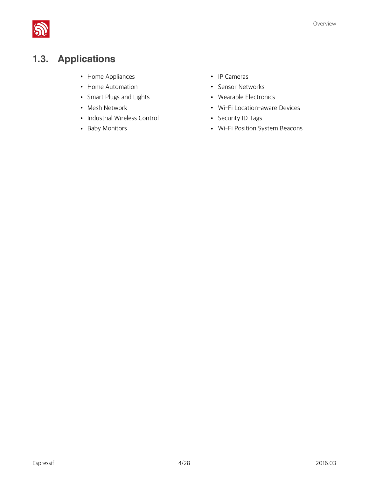

## **1.3. Applications**

- Home Appliances
- Home Automation
- Smart Plugs and Lights
- Mesh Network
- Industrial Wireless Control
- Baby Monitors
- IP Cameras
- Sensor Networks
- Wearable Electronics
- Wi-Fi Location-aware Devices
- Security ID Tags
- Wi-Fi Position System Beacons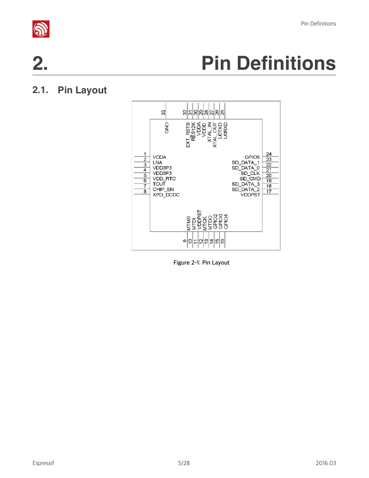

## **2. Pin Definitions**

## **2.1. Pin Layout**



**Figure 2-1: Pin Layout**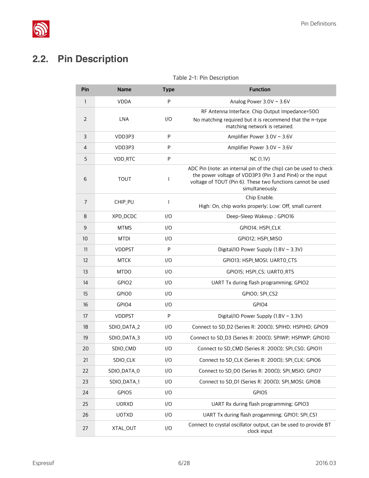

## **2.2. Pin Description**

### **Pin Name Type Function** 1 VDDA P Analog Power 3.0V ~ 3.6V 2 LNA I/O RF Antenna Interface. Chip Output Impedance=50Ω No matching required but it is recommend that the  $\pi$ -type matching network is retained. 3 VDD3P3 P Amplifier Power 3.0V ~ 3.6V 4 VDD3P3 P Amplifier Power 3.0V ~ 3.6V 5 VDD\_RTC P NC (1.1V) 6 TOUT I ADC Pin (note: an internal pin of the chip) can be used to check the power voltage of VDD3P3 (Pin 3 and Pin4) or the input voltage of TOUT (Pin 6). These two functions cannot be used simultaneously. <sup>7</sup> CHIP\_PU <sup>I</sup> Chip Enable. High: On, chip works properly; Low: Off, small current 8 XPD\_DCDC I/O Deep-Sleep Wakeup ; GPIO16 9 MTMS I/O GPIO14; HSPI\_CLK 10 MTDI I/O GPIO12; HSPI\_MISO 11 VDDPST P Digital/IO Power Supply (1.8V ~ 3.3V) 12 MTCK I/O GPIO13; HSPI\_MOSI; UARTO\_CTS 13 MTDO I/O GPIO15; HSPI\_CS; UARTO\_RTS 14 GPIO2 I/O UART Tx during flash programming; GPIO2 15 GPIO0 I/O GPIO0; SPI\_CS2 16 GPIO4 I/O GPIO4 17 VDDPST P Digital/IO Power Supply (1.8V ~ 3.3V) 18 SDIO\_DATA\_2 I/O Connect to SD\_D2 (Series R: 200Ω); SPIHD; HSPIHD; GPIO9 19 SDIO\_DATA\_3 I/O Connect to SD\_D3 (Series R: 200Ω); SPIWP; HSPIWP; GPIO10 20 SDIO\_CMD I/O Connect to SD\_CMD (Series R: 200Ω); SPI\_CS0; GPIO11 21 SDIO\_CLK I/O Connect to SD\_CLK (Series R: 200Ω); SPI\_CLK; GPIO6 22 SDIO\_DATA\_0 I/O Connect to SD\_D0 (Series R: 200Ω); SPI\_MSIO; GPIO7 23 SDIO\_DATA\_1 I/O Connect to SD\_D1 (Series R: 200Ω); SPI\_MOSI; GPIO8 24 GPIO5 I/O GPIO5 25 U0RXD I/O UART Rx during flash programming; GPIO3 26 UOTXD I/O UART Tx during flash progamming; GPIO1; SPI\_CS1 27 XTAL\_OUT I/O Connect to crystal oscillator output, can be used to provide BT

#### **Table 2-1: Pin Description**

clock input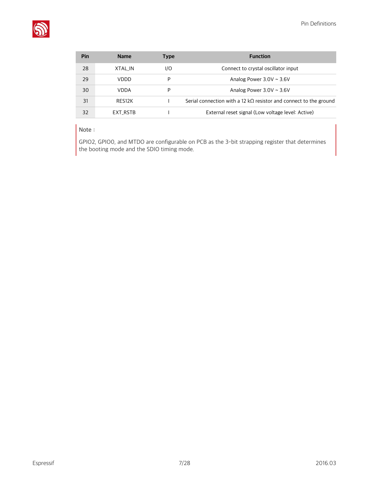

| Pin | <b>Name</b> | Type | <b>Function</b>                                                           |
|-----|-------------|------|---------------------------------------------------------------------------|
| 28  | XTAL IN     | I/O  | Connect to crystal oscillator input                                       |
| 29  | VDDD        | P    | Analog Power $3.0V \sim 3.6V$                                             |
| 30  | <b>VDDA</b> | P    | Analog Power $3.0V \sim 3.6V$                                             |
| 31  | RES12K      |      | Serial connection with a 12 k $\Omega$ resistor and connect to the ground |
| 32  | EXT RSTB    |      | External reset signal (Low voltage level: Active)                         |

#### **Note:**

GPIO2, GPIO0, and MTDO are configurable on PCB as the 3-bit strapping register that determines the booting mode and the SDIO timing mode.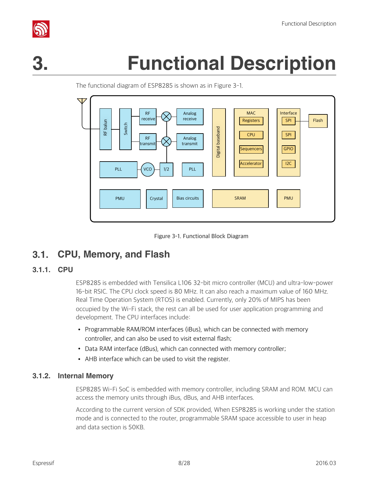

## **3. Functional Description**

RF Analog MAC | Interface receive receive SPI Flash Registers RF balun Switch Digital baseband Digital baseband CPU SPI RF Analog transmit transmit GPIO **Sequencers**  $I2C$ Accelerator **VCO** PLL  $\left\vert -\right\vert$  VCO  $\left\vert -\right\vert$  1/2  $\left\vert \ \ \right\vert$  PLL PMU | Crystal | Bias circuits | | SRAM | | PMU

The functional diagram of ESP8285 is shown as in Figure 3-1.



## **3.1. CPU, Memory, and Flash**

#### **3.1.1. CPU**

ESP8285 is embedded with Tensilica L106 32-bit micro controller (MCU) and ultra-low-power 16-bit RSIC. The CPU clock speed is 80 MHz. It can also reach a maximum value of 160 MHz. Real Time Operation System (RTOS) is enabled. Currently, only 20% of MIPS has been occupied by the Wi-Fi stack, the rest can all be used for user application programming and development. The CPU interfaces include:

- Programmable RAM/ROM interfaces (iBus), which can be connected with memory controller, and can also be used to visit external flash;
- Data RAM interface (dBus), which can connected with memory controller;
- AHB interface which can be used to visit the register.

#### **3.1.2. Internal Memory**

ESP8285 Wi-Fi SoC is embedded with memory controller, including SRAM and ROM. MCU can access the memory units through iBus, dBus, and AHB interfaces.

According to the current version of SDK provided, When ESP8285 is working under the station mode and is connected to the router, programmable SRAM space accessible to user in heap and data section is 50KB.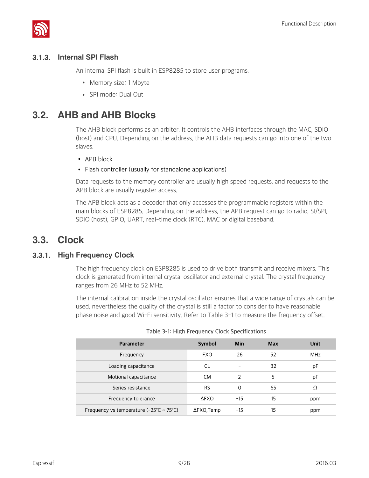

### **3.1.3. Internal SPI Flash**

An internal SPI flash is built in ESP8285 to store user programs.

- Memory size: 1 Mbyte
- SPI mode: Dual Out

### **3.2. AHB and AHB Blocks**

The AHB block performs as an arbiter. It controls the AHB interfaces through the MAC, SDIO (host) and CPU. Depending on the address, the AHB data requests can go into one of the two slaves.

- APB block
- Flash controller (usually for standalone applications)

Data requests to the memory controller are usually high speed requests, and requests to the APB block are usually register access.

The APB block acts as a decoder that only accesses the programmable registers within the main blocks of ESP8285. Depending on the address, the APB request can go to radio, SI/SPI, SDIO (host), GPIO, UART, real-time clock (RTC), MAC or digital baseband.

### **3.3. Clock**

#### **3.3.1. High Frequency Clock**

The high frequency clock on ESP8285 is used to drive both transmit and receive mixers. This clock is generated from internal crystal oscillator and external crystal. The crystal frequency ranges from 26 MHz to 52 MHz.

The internal calibration inside the crystal oscillator ensures that a wide range of crystals can be used, nevertheless the quality of the crystal is still a factor to consider to have reasonable phase noise and good Wi-Fi sensitivity. Refer to Table 3-1 to measure the frequency offset.

| <b>Parameter</b>                                              | Symbol             | Min           | <b>Max</b> | Unit |
|---------------------------------------------------------------|--------------------|---------------|------------|------|
| Frequency                                                     | <b>FXO</b>         | 26            | 52         | MHz  |
| Loading capacitance                                           | CL                 |               | 32         | рF   |
| Motional capacitance                                          | <b>CM</b>          | $\mathcal{P}$ | 5          | рF   |
| Series resistance                                             | <b>RS</b>          | $\Omega$      | 65         | Ω    |
| Frequency tolerance                                           | <b>AFXO</b>        | $-15$         | 15         | ppm  |
| Frequency vs temperature ( $-25^{\circ}$ C ~ 75 $^{\circ}$ C) | $\Delta$ FXO, Temp | -15           | 15         | ppm  |

|  | Table 3-1: High Frequency Clock Specifications |  |  |  |
|--|------------------------------------------------|--|--|--|
|--|------------------------------------------------|--|--|--|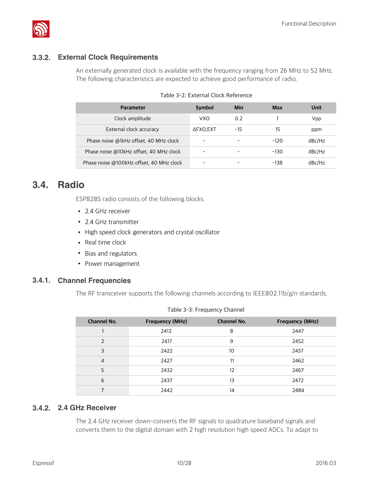

#### **3.3.2. External Clock Requirements**

An externally generated clock is available with the frequency ranging from 26 MHz to 52 MHz. The following characteristics are expected to achieve good performance of radio.

| <b>Parameter</b>                         | Symbol                   | Min             | <b>Max</b> | Unit   |
|------------------------------------------|--------------------------|-----------------|------------|--------|
| Clock amplitude                          | VXO                      | 0.2             |            | Vpp    |
| External clock accuracy                  | ΔFXO, EXT                | -15             | 15         | ppm    |
| Phase noise @1kHz offset, 40 MHz clock   | $\qquad \qquad$          | $\qquad \qquad$ | $-120$     | dBc/Hz |
| Phase noise @10kHz offset, 40 MHz clock  | $\overline{\phantom{a}}$ | $\qquad \qquad$ | $-130$     | dBc/Hz |
| Phase noise @100kHz offset, 40 MHz clock | $\qquad \qquad$          |                 | $-138$     | dBc/Hz |

#### **Table 3-2: External Clock Reference**

### **3.4. Radio**

ESP8285 radio consists of the following blocks.

- 2.4 GHz receiver
- 2.4 GHz transmitter
- High speed clock generators and crystal oscillator
- Real time clock
- Bias and regulators
- Power management

#### **3.4.1. Channel Frequencies**

The RF transceiver supports the following channels according to IEEE802.11b/g/n standards.

| <b>Channel No.</b> | <b>Frequency (MHz)</b> | <b>Channel No.</b> | <b>Frequency (MHz)</b> |
|--------------------|------------------------|--------------------|------------------------|
|                    | 2412                   | 8                  | 2447                   |
| $\mathcal{P}$      | 2417                   | 9                  | 2452                   |
| 3                  | 2422                   | 10                 | 2457                   |
| $\overline{4}$     | 2427                   | 11                 | 2462                   |
| 5                  | 2432                   | 12                 | 2467                   |
| 6                  | 2437                   | 13                 | 2472                   |
|                    | 2442                   | 14                 | 2484                   |

#### **Table 3-3: Frequency Channel**

#### **3.4.2. 2.4 GHz Receiver**

The 2.4 GHz receiver down-converts the RF signals to quadrature baseband signals and converts them to the digital domain with 2 high resolution high speed ADCs. To adapt to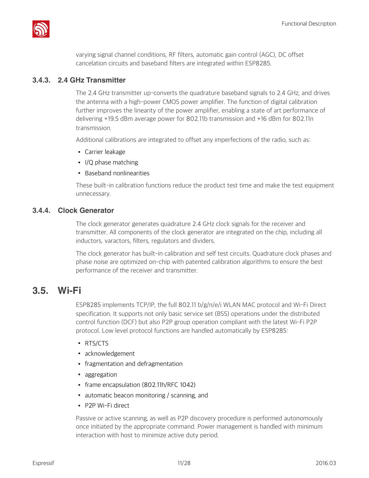

varying signal channel conditions, RF filters, automatic gain control (AGC), DC offset cancelation circuits and baseband filters are integrated within ESP8285.

#### **3.4.3. 2.4 GHz Transmitter**

The 2.4 GHz transmitter up-converts the quadrature baseband signals to 2.4 GHz, and drives the antenna with a high-power CMOS power amplifier. The function of digital calibration further improves the linearity of the power amplifier, enabling a state of art performance of delivering +19.5 dBm average power for 802.11b transmission and +16 dBm for 802.11n transmission.

Additional calibrations are integrated to offset any imperfections of the radio, such as:

- Carrier leakage
- I/Q phase matching
- Baseband nonlinearities

These built-in calibration functions reduce the product test time and make the test equipment unnecessary.

#### **3.4.4. Clock Generator**

The clock generator generates quadrature 2.4 GHz clock signals for the receiver and transmitter. All components of the clock generator are integrated on the chip, including all inductors, varactors, filters, regulators and dividers.

The clock generator has built-in calibration and self test circuits. Quadrature clock phases and phase noise are optimized on-chip with patented calibration algorithms to ensure the best performance of the receiver and transmitter.

### **3.5. Wi-Fi**

ESP8285 implements TCP/IP, the full 802.11 b/g/n/e/i WLAN MAC protocol and Wi-Fi Direct specification. It supports not only basic service set (BSS) operations under the distributed control function (DCF) but also P2P group operation compliant with the latest Wi-Fi P2P protocol. Low level protocol functions are handled automatically by ESP8285:

- RTS/CTS
- acknowledgement
- fragmentation and defragmentation
- aggregation
- frame encapsulation (802.11h/RFC 1042)
- automatic beacon monitoring / scanning, and
- P2P Wi-Fi direct

Passive or active scanning, as well as P2P discovery procedure is performed autonomously once initiated by the appropriate command. Power management is handled with minimum interaction with host to minimize active duty period.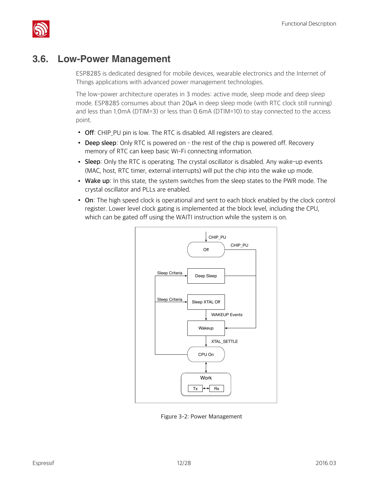

## **3.6. Low-Power Management**

ESP8285 is dedicated designed for mobile devices, wearable electronics and the Internet of Things applications with advanced power management technologies.

The low-power architecture operates in 3 modes: active mode, sleep mode and deep sleep mode. ESP8285 consumes about than 20μA in deep sleep mode (with RTC clock still running) and less than 1.0mA (DTIM=3) or less than 0.6mA (DTIM=10) to stay connected to the access point.

- **Off**: CHIP\_PU pin is low. The RTC is disabled. All registers are cleared.
- **Deep sleep**: Only RTC is powered on the rest of the chip is powered off. Recovery memory of RTC can keep basic Wi-Fi connecting information.
- **Sleep**: Only the RTC is operating. The crystal oscillator is disabled. Any wake-up events (MAC, host, RTC timer, external interrupts) will put the chip into the wake up mode.
- **Wake up**: In this state, the system switches from the sleep states to the PWR mode. The crystal oscillator and PLLs are enabled.
- **On**: The high speed clock is operational and sent to each block enabled by the clock control register. Lower level clock gating is implemented at the block level, including the CPU, which can be gated off using the WAITI instruction while the system is on.



**Figure 3-2: Power Management**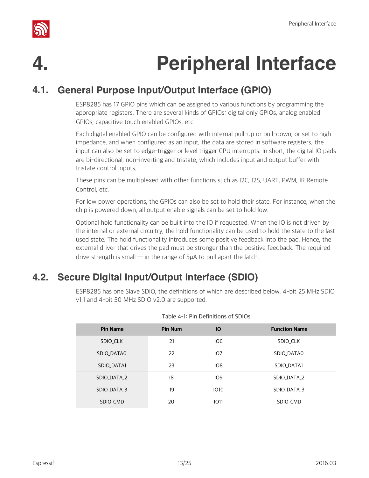

## **4. Peripheral Interface**

## **4.1. General Purpose Input/Output Interface (GPIO)**

ESP8285 has 17 GPIO pins which can be assigned to various functions by programming the appropriate registers. There are several kinds of GPIOs: digital only GPIOs, analog enabled GPIOs, capacitive touch enabled GPIOs, etc.

Each digital enabled GPIO can be configured with internal pull-up or pull-down, or set to high impedance, and when configured as an input, the data are stored in software registers; the input can also be set to edge-trigger or level trigger CPU interrupts. In short, the digital IO pads are bi-directional, non-inverting and tristate, which includes input and output buffer with tristate control inputs.

These pins can be multiplexed with other functions such as I2C, I2S, UART, PWM, IR Remote Control, etc.

For low power operations, the GPIOs can also be set to hold their state. For instance, when the chip is powered down, all output enable signals can be set to hold low.

Optional hold functionality can be built into the IO if requested. When the IO is not driven by the internal or external circuitry, the hold functionality can be used to hold the state to the last used state. The hold functionality introduces some positive feedback into the pad. Hence, the external driver that drives the pad must be stronger than the positive feedback. The required drive strength is small  $-$  in the range of 5μA to pull apart the latch.

## **4.2. Secure Digital Input/Output Interface (SDIO)**

ESP8285 has one Slave SDIO, the definitions of which are described below. 4-bit 25 MHz SDIO v1.1 and 4-bit 50 MHz SDIO v2.0 are supported.

| <b>Pin Name</b>   | <b>Pin Num</b> | <b>IO</b>   | <b>Function Name</b> |
|-------------------|----------------|-------------|----------------------|
| SDIO CLK          | 21             | IO6         | SDIO CLK             |
| SDIO DATAO        | 22             | IO7         | SDIO DATAO           |
| <b>SDIO DATA1</b> | 23             | IO8         | <b>SDIO DATA1</b>    |
| SDIO DATA 2       | 18             | 109         | SDIO DATA 2          |
| SDIO DATA 3       | 19             | <b>IO10</b> | SDIO DATA 3          |
| SDIO CMD          | 20             | <b>IO11</b> | SDIO CMD             |

#### **Table 4-1: Pin Definitions of SDIOs**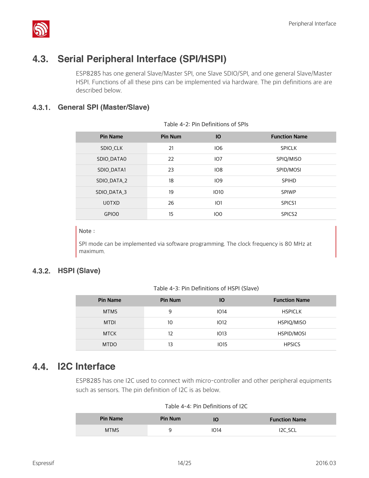

## **4.3. Serial Peripheral Interface (SPI/HSPI)**

ESP8285 has one general Slave/Master SPI, one Slave SDIO/SPI, and one general Slave/Master HSPI. Functions of all these pins can be implemented via hardware. The pin definitions are are described below.

### **4.3.1. General SPI (Master/Slave)**

| <b>Pin Name</b> | Pin Num | IO              | <b>Function Name</b> |
|-----------------|---------|-----------------|----------------------|
| SDIO_CLK        | 21      | IO6             | <b>SPICLK</b>        |
| SDIO_DATA0      | 22      | IO7             | SPIQ/MISO            |
| SDIO_DATA1      | 23      | IO8             | SPID/MOSI            |
| SDIO DATA 2     | 18      | IO9             | <b>SPIHD</b>         |
| SDIO DATA 3     | 19      | 1010            | <b>SPIWP</b>         |
| <b>UOTXD</b>    | 26      | IO1             | SPICS1               |
| GPIO0           | 15      | IO <sub>0</sub> | SPICS <sub>2</sub>   |

**Table 4-2: Pin Definitions of SPIs**

#### **Note:**

SPI mode can be implemented via software programming. The clock frequency is 80 MHz at maximum.

#### **4.3.2. HSPI (Slave)**

**Table 4-3: Pin Definitions of HSPI (Slave)**

| <b>Pin Name</b> | <b>Pin Num</b> | lО          | <b>Function Name</b> |
|-----------------|----------------|-------------|----------------------|
| <b>MTMS</b>     | 9              | <b>IO14</b> | <b>HSPICLK</b>       |
| <b>MTDI</b>     | 10             | <b>IO12</b> | HSPIQ/MISO           |
| <b>MTCK</b>     | 12             | IO13        | HSPID/MOSI           |
| <b>MTDO</b>     | 13             | <b>IO15</b> | <b>HPSICS</b>        |

### **4.4. I2C Interface**

ESP8285 has one I2C used to connect with micro-controller and other peripheral equipments such as sensors. The pin definition of I2C is as below.

|  |  | Table 4-4: Pin Definitions of I2C |  |  |
|--|--|-----------------------------------|--|--|
|--|--|-----------------------------------|--|--|

| <b>Pin Name</b> | Pin Num | IO   | <b>Function Name</b> |
|-----------------|---------|------|----------------------|
| <b>MTMS</b>     |         | 1014 | I2C_SCL              |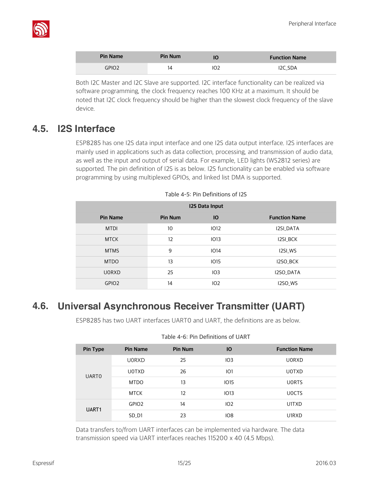

| <b>Pin Name</b> | <b>Pin Num</b> | <b>Function Name</b> |
|-----------------|----------------|----------------------|
| GPIO2           |                | I <sub>2</sub> C SDA |

Both I2C Master and I2C Slave are supported. I2C interface functionality can be realized via software programming, the clock frequency reaches 100 KHz at a maximum. It should be noted that I2C clock frequency should be higher than the slowest clock frequency of the slave device.

## **4.5. I2S Interface**

ESP8285 has one I2S data input interface and one I2S data output interface. I2S interfaces are mainly used in applications such as data collection, processing, and transmission of audio data, as well as the input and output of serial data. For example, LED lights (WS2812 series) are supported. The pin definition of I2S is as below. I2S functionality can be enabled via software programming by using multiplexed GPIOs, and linked list DMA is supported.

| <b>I2S Data Input</b> |                 |                 |                      |  |
|-----------------------|-----------------|-----------------|----------------------|--|
| <b>Pin Name</b>       | Pin Num         | IO              | <b>Function Name</b> |  |
| <b>MTDI</b>           | 10 <sup>°</sup> | <b>IO12</b>     | <b>I2SI DATA</b>     |  |
| <b>MTCK</b>           | 12              | <b>IO13</b>     | <b>I2SI BCK</b>      |  |
| <b>MTMS</b>           | 9               | IO14            | I2SI_WS              |  |
| <b>MTDO</b>           | 13              | <b>IO15</b>     | <b>I2SO BCK</b>      |  |
| <b>UORXD</b>          | 25              | IO3             | I2SO_DATA            |  |
| GPIO <sub>2</sub>     | 14              | IO <sub>2</sub> | I2SO WS              |  |

**Table 4-5: Pin Definitions of I2S**

## **4.6. Universal Asynchronous Receiver Transmitter (UART)**

ESP8285 has two UART interfaces UART0 and UART, the definitions are as below.

| Pin Type              | <b>Pin Name</b>   | Pin Num | <b>IO</b>       | <b>Function Name</b> |
|-----------------------|-------------------|---------|-----------------|----------------------|
|                       | <b>U0RXD</b>      | 25      | IO3             | <b>UORXD</b>         |
|                       | <b>UOTXD</b>      | 26      | IO1             | <b>UOTXD</b>         |
|                       | <b>MTDO</b>       | 13      | <b>IO15</b>     | <b>UORTS</b>         |
|                       | <b>MTCK</b>       | 12      | IO13            | <b>UOCTS</b>         |
|                       | GPIO <sub>2</sub> | 14      | IO2             | U1TXD                |
|                       | SD D1             | 23      | IO <sub>8</sub> | U1RXD                |
| <b>UARTO</b><br>UART1 |                   |         |                 |                      |

**Table 4-6: Pin Definitions of UART**

Data transfers to/from UART interfaces can be implemented via hardware. The data transmission speed via UART interfaces reaches 115200 x 40 (4.5 Mbps).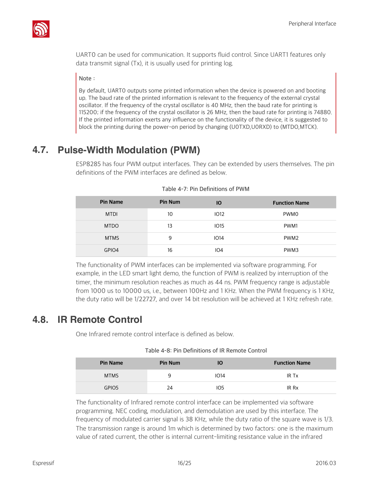

UART0 can be used for communication. It supports fluid control. Since UART1 features only data transmit signal (Tx), it is usually used for printing log.

#### **Note:**

By default, UART0 outputs some printed information when the device is powered on and booting up. The baud rate of the printed information is relevant to the frequency of the external crystal oscillator. If the frequency of the crystal oscillator is 40 MHz, then the baud rate for printing is 115200; if the frequency of the crystal oscillator is 26 MHz, then the baud rate for printing is 74880. If the printed information exerts any influence on the functionality of the device, it is suggested to block the printing during the power-on period by changing (U0TXD,U0RXD) to (MTDO,MTCK).

## **4.7. Pulse-Width Modulation (PWM)**

ESP8285 has four PWM output interfaces. They can be extended by users themselves. The pin definitions of the PWM interfaces are defined as below.

| <b>Pin Name</b> | <b>Pin Num</b> | <b>IO</b>   | <b>Function Name</b> |
|-----------------|----------------|-------------|----------------------|
| <b>MTDI</b>     | 10             | <b>IO12</b> | <b>PWMO</b>          |
| <b>MTDO</b>     | 13             | <b>IO15</b> | PWM1                 |
| <b>MTMS</b>     | 9              | IO14        | PWM <sub>2</sub>     |
| GPIO4           | 16             | IO4         | PWM3                 |

**Table 4-7: Pin Definitions of PWM**

The functionality of PWM interfaces can be implemented via software programming. For example, in the LED smart light demo, the function of PWM is realized by interruption of the timer, the minimum resolution reaches as much as 44 ns. PWM frequency range is adjustable from 1000 us to 10000 us, i.e., between 100Hz and 1 KHz. When the PWM frequency is 1 KHz, the duty ratio will be 1/22727, and over 14 bit resolution will be achieved at 1 KHz refresh rate.

## **4.8. IR Remote Control**

One Infrared remote control interface is defined as below.

| Table 4-8: Pin Definitions of IR Remote Control |  |  |
|-------------------------------------------------|--|--|
|                                                 |  |  |

| <b>Pin Name</b> | <b>Pin Num</b> | IO              | <b>Function Name</b> |
|-----------------|----------------|-----------------|----------------------|
| <b>MTMS</b>     | a              | <b>IO14</b>     | IR Tx                |
| GPIO5           | 24             | IO <sub>5</sub> | IR Rx                |

The functionality of Infrared remote control interface can be implemented via software programming. NEC coding, modulation, and demodulation are used by this interface. The frequency of modulated carrier signal is 38 KHz, while the duty ratio of the square wave is 1/3. The transmission range is around 1m which is determined by two factors: one is the maximum value of rated current, the other is internal current-limiting resistance value in the infrared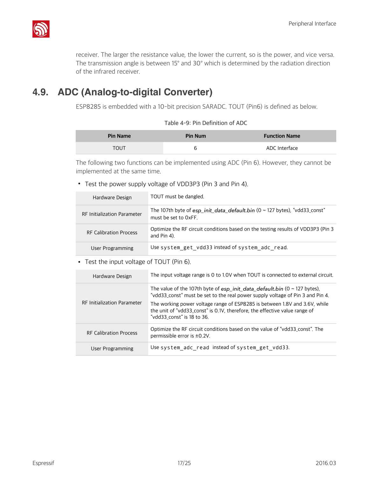

receiver. The larger the resistance value, the lower the current, so is the power, and vice versa. The transmission angle is between 15° and 30° which is determined by the radiation direction of the infrared receiver.

## **4.9. ADC (Analog-to-digital Converter)**

ESP8285 is embedded with a 10-bit precision SARADC. TOUT (Pin6) is defined as below.

| Table 4-9: Pin Definition of ADC |  |
|----------------------------------|--|
|----------------------------------|--|

| <b>Pin Name</b> | <b>Pin Num</b> | <b>Function Name</b> |
|-----------------|----------------|----------------------|
| <b>TOUT</b>     | b              | ADC Interface        |

The following two functions can be implemented using ADC (Pin 6). However, they cannot be implemented at the same time.

• Test the power supply voltage of VDD3P3 (Pin 3 and Pin 4).

| Hardware Design                    | TOUT must be dangled.                                                                              |
|------------------------------------|----------------------------------------------------------------------------------------------------|
| <b>RF Initialization Parameter</b> | The 107th byte of esp_init_data_default.bin (0 ~ 127 bytes), "vdd33_const"<br>must be set to OxFF. |
| <b>RF Calibration Process</b>      | Optimize the RF circuit conditions based on the testing results of VDD3P3 (Pin 3<br>and $Pin$ 4).  |
| User Programming                   | Use system get vdd33 instead of system adc read.                                                   |

• Test the input voltage of TOUT (Pin 6).

| Hardware Design                    | The input voltage range is 0 to 1.0V when TOUT is connected to external circuit.                                                                                                                                                                                                                                                                                |
|------------------------------------|-----------------------------------------------------------------------------------------------------------------------------------------------------------------------------------------------------------------------------------------------------------------------------------------------------------------------------------------------------------------|
| <b>RF Initialization Parameter</b> | The value of the 107th byte of $esp\_init\_data\_default.bin$ (0 $\sim$ 127 bytes),<br>"vdd33_const" must be set to the real power supply voltage of Pin 3 and Pin 4.<br>The working power voltage range of ESP8285 is between 1.8V and 3.6V, while<br>the unit of "vdd33_const" is 0.1V, therefore, the effective value range of<br>"vdd33 const" is 18 to 36. |
| <b>RF Calibration Process</b>      | Optimize the RF circuit conditions based on the value of "vdd33 const". The<br>permissible error is ±0.2V.                                                                                                                                                                                                                                                      |
| User Programming                   | Use system adc read instead of system get vdd33.                                                                                                                                                                                                                                                                                                                |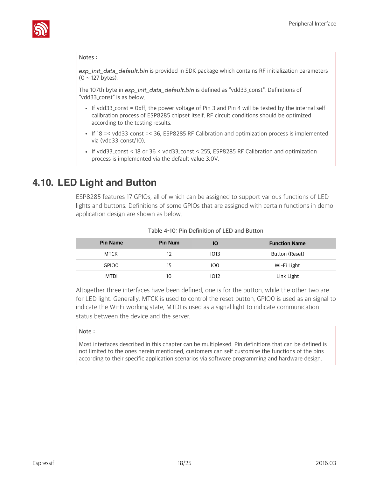

#### **Notes:**

*esp\_init\_data\_default.bin* is provided in SDK package which contains RF initialization parameters (0 ~ 127 bytes).

The 107th byte in *esp\_init\_data\_default.bin* is defined as "vdd33\_const". Definitions of "vdd33\_const" is as below.

- If vdd33 const = 0xff, the power voltage of Pin 3 and Pin 4 will be tested by the internal selfcalibration process of ESP8285 chipset itself. RF circuit conditions should be optimized according to the testing results.
- If 18 =< vdd33\_const =< 36, ESP8285 RF Calibration and optimization process is implemented via (vdd33\_const/10).
- If vdd33\_const < 18 or 36 < vdd33\_const < 255, ESP8285 RF Calibration and optimization process is implemented via the default value 3.0V.

### **4.10. LED Light and Button**

ESP8285 features 17 GPIOs, all of which can be assigned to support various functions of LED lights and buttons. Definitions of some GPIOs that are assigned with certain functions in demo application design are shown as below.

| <b>Pin Name</b> | <b>Pin Num</b> | Ю               | <b>Function Name</b> |
|-----------------|----------------|-----------------|----------------------|
| <b>MTCK</b>     | 12             | 1013            | Button (Reset)       |
| <b>GPIOO</b>    | 15             | IO <sub>0</sub> | Wi-Fi Light          |
| <b>MTDI</b>     | 10             | 1012            | Link Light           |

#### **Table 4-10: Pin Definition of LED and Button**

Altogether three interfaces have been defined, one is for the button, while the other two are for LED light. Generally, MTCK is used to control the reset button, GPIO0 is used as an signal to indicate the Wi-Fi working state, MTDI is used as a signal light to indicate communication status between the device and the server.

#### **Note:**

Most interfaces described in this chapter can be multiplexed. Pin definitions that can be defined is not limited to the ones herein mentioned, customers can self customise the functions of the pins according to their specific application scenarios via software programming and hardware design.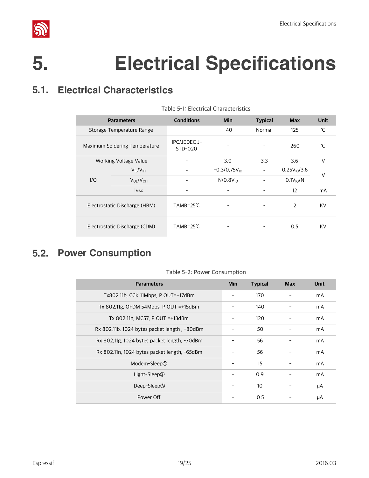

## **5. Electrical Specifications**

## **5.1. Electrical Characteristics**

| <b>Parameters</b>             |                               | <b>Conditions</b>         | <b>Min</b>        | <b>Typical</b> | <b>Max</b>       | <b>Unit</b> |  |
|-------------------------------|-------------------------------|---------------------------|-------------------|----------------|------------------|-------------|--|
| Storage Temperature Range     |                               |                           | $-40$             | Normal         | 125              | ້ໂ          |  |
| Maximum Soldering Temperature |                               | IPC/JEDEC J-<br>$STD-020$ |                   |                | 260              | ůΓ          |  |
|                               | Working Voltage Value         |                           | 3.0               | 3.3            | 3.6              | V           |  |
|                               | $V_{II}/V_{IH}$               |                           | $-0.3/0.75V_{10}$ |                | $0.25V_{10}/3.6$ | V           |  |
| I/O                           | $V_{OL}/V_{OH}$               |                           | $N/0.8V_{10}$     |                | $0.1V_{10}/N$    |             |  |
|                               | <b>I</b> MAX                  |                           |                   |                | 12               | mA          |  |
|                               | Electrostatic Discharge (HBM) | TAMB=25℃                  |                   |                | $\overline{2}$   | KV          |  |
|                               | Electrostatic Discharge (CDM) | TAMB=25℃                  |                   |                | 0.5              | KV          |  |

#### **Table 5-1: Electrical Characteristics**

## **5.2. Power Consumption**

| <b>Parameters</b>                            | Min | <b>Typical</b> | <b>Max</b> | <b>Unit</b> |
|----------------------------------------------|-----|----------------|------------|-------------|
| Tx802,11b, CCK 11Mbps, P OUT=+17dBm          |     | 170            |            | mA          |
| Tx 802.11g, OFDM 54Mbps, P OUT =+15dBm       |     | 140            |            | mA          |
| Tx 802.11n, MCS7, P OUT =+13dBm              |     | 120            |            | mA          |
| Rx 802.11b, 1024 bytes packet length, -80dBm |     | 50             |            | mA          |
| Rx 802.11g, 1024 bytes packet length, -70dBm |     | 56             |            | mA          |
| Rx 802.11n, 1024 bytes packet length, -65dBm |     | 56             |            | mA          |
| Modem-Sleep①                                 |     | 15             |            | mA          |
| Light-Sleep2                                 |     | 0.9            |            | mA          |
| Deep-Sleep <sup>3</sup>                      |     | 10             |            | μA          |
| Power Off                                    |     | 0.5            |            | μA          |

#### **Table 5-2: Power Consumption**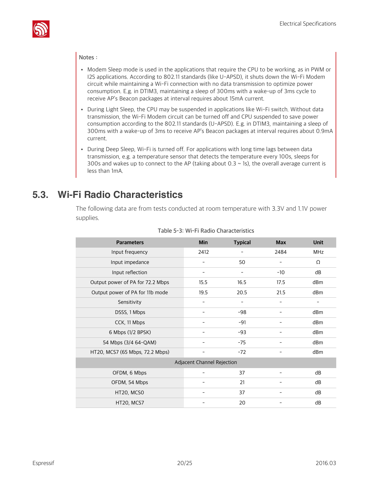

#### **Notes:**

- Modem Sleep mode is used in the applications that require the CPU to be working, as in PWM or I2S applications. According to 802.11 standards (like U-APSD), it shuts down the Wi-Fi Modem circuit while maintaining a Wi-Fi connection with no data transmission to optimize power consumption. E.g. in DTIM3, maintaining a sleep of 300ms with a wake-up of 3ms cycle to receive AP's Beacon packages at interval requires about 15mA current.
- During Light Sleep, the CPU may be suspended in applications like Wi-Fi switch. Without data transmission, the Wi-Fi Modem circuit can be turned off and CPU suspended to save power consumption according to the 802.11 standards (U-APSD). E.g. in DTIM3, maintaining a sleep of 300ms with a wake-up of 3ms to receive AP's Beacon packages at interval requires about 0.9mA current.
- During Deep Sleep, Wi-Fi is turned off. For applications with long time lags between data transmission, e.g. a temperature sensor that detects the temperature every 100s, sleeps for 300s and wakes up to connect to the AP (taking about 0.3  $\sim$  1s), the overall average current is less than 1mA.

## **5.3. Wi-Fi Radio Characteristics**

The following data are from tests conducted at room temperature with 3.3V and 1.1V power supplies.

| <b>Parameters</b>                | <b>Min</b>               | <b>Typical</b> | <b>Max</b>               | <b>Unit</b>              |  |  |
|----------------------------------|--------------------------|----------------|--------------------------|--------------------------|--|--|
| Input frequency                  | 2412                     |                | 2484                     | MHz                      |  |  |
| Input impedance                  |                          | 50             |                          | Ω                        |  |  |
| Input reflection                 |                          |                | $-10$                    | dB                       |  |  |
| Output power of PA for 72.2 Mbps | 15.5                     | 16.5           | 17.5                     | dB <sub>m</sub>          |  |  |
| Output power of PA for 11b mode  | 19.5                     | 20.5           | 21.5                     | dB <sub>m</sub>          |  |  |
| Sensitivity                      | ۳                        | ۳              | $\overline{\phantom{0}}$ | $\overline{\phantom{0}}$ |  |  |
| DSSS, 1 Mbps                     |                          | -98            |                          | dBm                      |  |  |
| CCK, 11 Mbps                     |                          | $-91$          |                          | dBm                      |  |  |
| 6 Mbps (1/2 BPSK)                |                          | $-93$          |                          | dBm                      |  |  |
| 54 Mbps (3/4 64-QAM)             | $\overline{\phantom{a}}$ | $-75$          |                          | dBm                      |  |  |
| HT20, MCS7 (65 Mbps, 72.2 Mbps)  | $\qquad \qquad$          | $-72$          | $\qquad \qquad$          | dBm                      |  |  |
| Adjacent Channel Rejection       |                          |                |                          |                          |  |  |
| OFDM, 6 Mbps                     |                          | 37             |                          | dB                       |  |  |
| OFDM, 54 Mbps                    |                          | 21             |                          | dB                       |  |  |
| HT20, MCSO                       | $\overline{a}$           | 37             |                          | dB                       |  |  |
| HT20, MCS7                       |                          | 20             |                          | dB                       |  |  |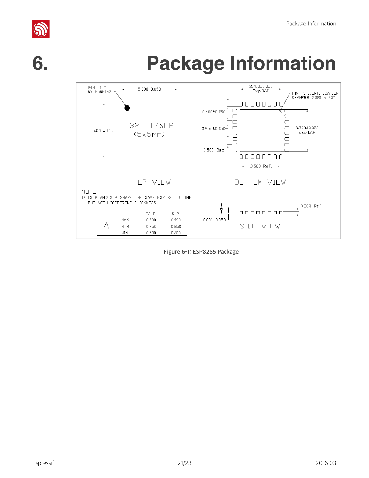

# **6. Package Information**



**Figure 6-1: ESP8285 Package**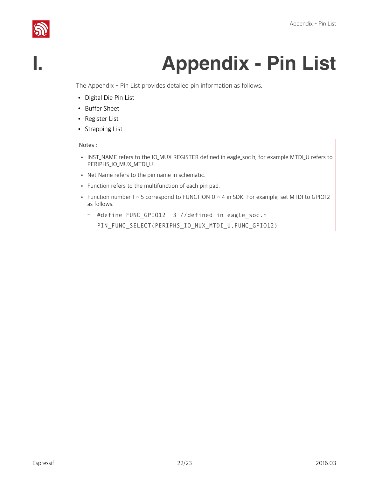## **I. Appendix - Pin List**

The Appendix - Pin List provides detailed pin information as follows.

- Digital Die Pin List
- Buffer Sheet
- Register List
- Strapping List

#### **Notes:**

- INST\_NAME refers to the IO\_MUX REGISTER defined in eagle\_soc.h, for example MTDI\_U refers to PERIPHS\_IO\_MUX\_MTDI\_U.
- Net Name refers to the pin name in schematic.
- Function refers to the multifunction of each pin pad.
- Function number  $1 \sim 5$  correspond to FUNCTION  $0 \sim 4$  in SDK. For example, set MTDI to GPIO12 as follows.
	- #define FUNC\_GPIO12 3 //defined in eagle\_soc.h
	- PIN\_FUNC\_SELECT(PERIPHS\_IO\_MUX\_MTDI\_U,FUNC\_GPIO12)